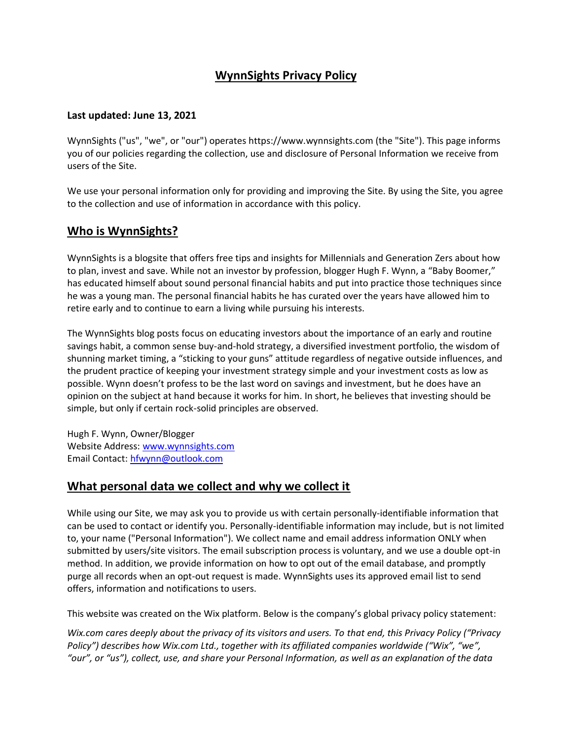# **WynnSights Privacy Policy**

#### **Last updated: June 13, 2021**

WynnSights ("us", "we", or "our") operates https://www.wynnsights.com (the "Site"). This page informs you of our policies regarding the collection, use and disclosure of Personal Information we receive from users of the Site.

We use your personal information only for providing and improving the Site. By using the Site, you agree to the collection and use of information in accordance with this policy.

# **Who is WynnSights?**

WynnSights is a blogsite that offers free tips and insights for Millennials and Generation Zers about how to plan, invest and save. While not an investor by profession, blogger Hugh F. Wynn, a "Baby Boomer," has educated himself about sound personal financial habits and put into practice those techniques since he was a young man. The personal financial habits he has curated over the years have allowed him to retire early and to continue to earn a living while pursuing his interests.

The WynnSights blog posts focus on educating investors about the importance of an early and routine savings habit, a common sense buy-and-hold strategy, a diversified investment portfolio, the wisdom of shunning market timing, a "sticking to your guns" attitude regardless of negative outside influences, and the prudent practice of keeping your investment strategy simple and your investment costs as low as possible. Wynn doesn't profess to be the last word on savings and investment, but he does have an opinion on the subject at hand because it works for him. In short, he believes that investing should be simple, but only if certain rock-solid principles are observed.

Hugh F. Wynn, Owner/Blogger Website Address: [www.wynnsights.com](http://www.wynnsights.com/) Email Contact: [hfwynn@outlook.com](mailto:hfwynn@outlook.com)

### **What personal data we collect and why we collect it**

While using our Site, we may ask you to provide us with certain personally-identifiable information that can be used to contact or identify you. Personally-identifiable information may include, but is not limited to, your name ("Personal Information"). We collect name and email address information ONLY when submitted by users/site visitors. The email subscription process is voluntary, and we use a double opt-in method. In addition, we provide information on how to opt out of the email database, and promptly purge all records when an opt-out request is made. WynnSights uses its approved email list to send offers, information and notifications to users.

This website was created on the Wix platform. Below is the company's global privacy policy statement:

*Wix.com cares deeply about the privacy of its visitors and users. To that end, this Privacy Policy ("Privacy Policy") describes how Wix.com Ltd., together with its affiliated companies worldwide ("Wix", "we", "our", or "us"), collect, use, and share your Personal Information, as well as an explanation of the data*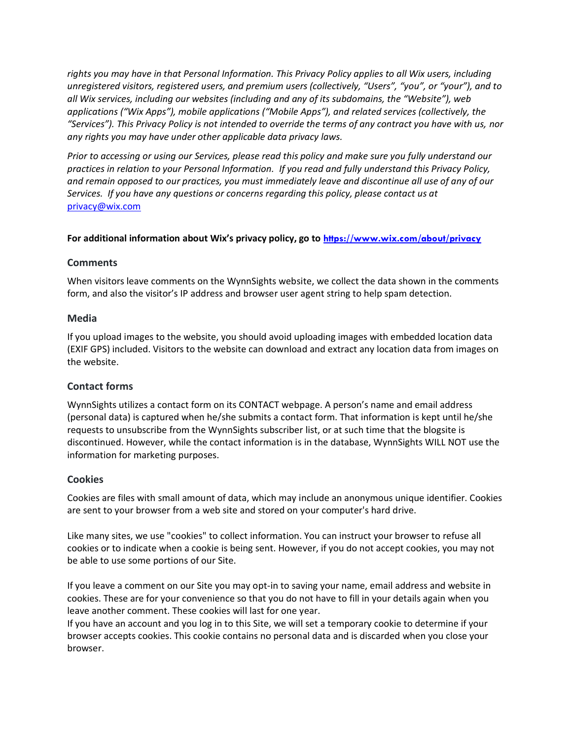*rights you may have in that Personal Information. This Privacy Policy applies to all Wix users, including unregistered visitors, registered users, and premium users (collectively, "Users", "you", or "your"), and to all Wix services, including our websites (including and any of its subdomains, the "Website"), web applications ("Wix Apps"), mobile applications ("Mobile Apps"), and related services (collectively, the "Services"). This Privacy Policy is not intended to override the terms of any contract you have with us, nor any rights you may have under other applicable data privacy laws.*

*Prior to accessing or using our Services, please read this policy and make sure you fully understand our practices in relation to your Personal Information. If you read and fully understand this Privacy Policy, and remain opposed to our practices, you must immediately leave and discontinue all use of any of our Services. If you have any questions or concerns regarding this policy, please contact us at* [privacy@wix.com](mailto:privacy@wix.com)

#### **For additional information about Wix's privacy policy, go to <https://www.wix.com/about/privacy>**

#### **Comments**

When visitors leave comments on the WynnSights website, we collect the data shown in the comments form, and also the visitor's IP address and browser user agent string to help spam detection.

#### **Media**

If you upload images to the website, you should avoid uploading images with embedded location data (EXIF GPS) included. Visitors to the website can download and extract any location data from images on the website.

### **Contact forms**

WynnSights utilizes a contact form on its CONTACT webpage. A person's name and email address (personal data) is captured when he/she submits a contact form. That information is kept until he/she requests to unsubscribe from the WynnSights subscriber list, or at such time that the blogsite is discontinued. However, while the contact information is in the database, WynnSights WILL NOT use the information for marketing purposes.

### **Cookies**

Cookies are files with small amount of data, which may include an anonymous unique identifier. Cookies are sent to your browser from a web site and stored on your computer's hard drive.

Like many sites, we use "cookies" to collect information. You can instruct your browser to refuse all cookies or to indicate when a cookie is being sent. However, if you do not accept cookies, you may not be able to use some portions of our Site.

If you leave a comment on our Site you may opt-in to saving your name, email address and website in cookies. These are for your convenience so that you do not have to fill in your details again when you leave another comment. These cookies will last for one year.

If you have an account and you log in to this Site, we will set a temporary cookie to determine if your browser accepts cookies. This cookie contains no personal data and is discarded when you close your browser.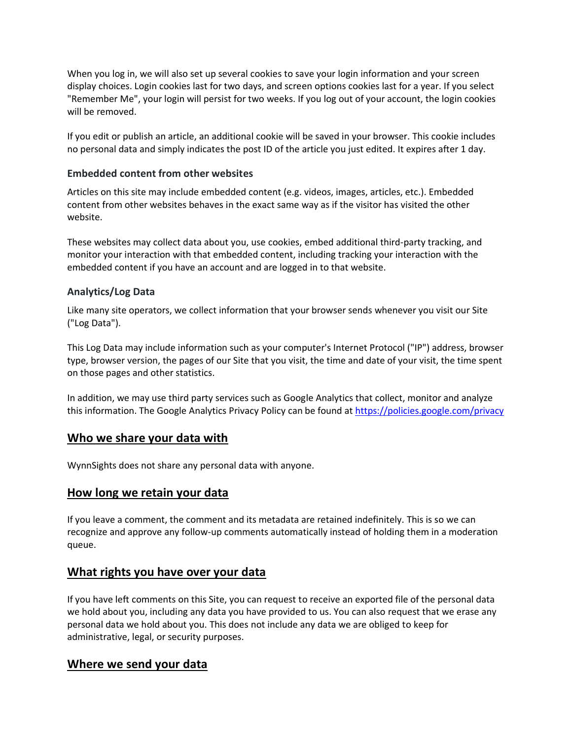When you log in, we will also set up several cookies to save your login information and your screen display choices. Login cookies last for two days, and screen options cookies last for a year. If you select "Remember Me", your login will persist for two weeks. If you log out of your account, the login cookies will be removed.

If you edit or publish an article, an additional cookie will be saved in your browser. This cookie includes no personal data and simply indicates the post ID of the article you just edited. It expires after 1 day.

### **Embedded content from other websites**

Articles on this site may include embedded content (e.g. videos, images, articles, etc.). Embedded content from other websites behaves in the exact same way as if the visitor has visited the other website.

These websites may collect data about you, use cookies, embed additional third-party tracking, and monitor your interaction with that embedded content, including tracking your interaction with the embedded content if you have an account and are logged in to that website.

### **Analytics/Log Data**

Like many site operators, we collect information that your browser sends whenever you visit our Site ("Log Data").

This Log Data may include information such as your computer's Internet Protocol ("IP") address, browser type, browser version, the pages of our Site that you visit, the time and date of your visit, the time spent on those pages and other statistics.

In addition, we may use third party services such as Google Analytics that collect, monitor and analyze this information. The Google Analytics Privacy Policy can be found at<https://policies.google.com/privacy>

### **Who we share your data with**

WynnSights does not share any personal data with anyone.

### **How long we retain your data**

If you leave a comment, the comment and its metadata are retained indefinitely. This is so we can recognize and approve any follow-up comments automatically instead of holding them in a moderation queue.

### **What rights you have over your data**

If you have left comments on this Site, you can request to receive an exported file of the personal data we hold about you, including any data you have provided to us. You can also request that we erase any personal data we hold about you. This does not include any data we are obliged to keep for administrative, legal, or security purposes.

# **Where we send your data**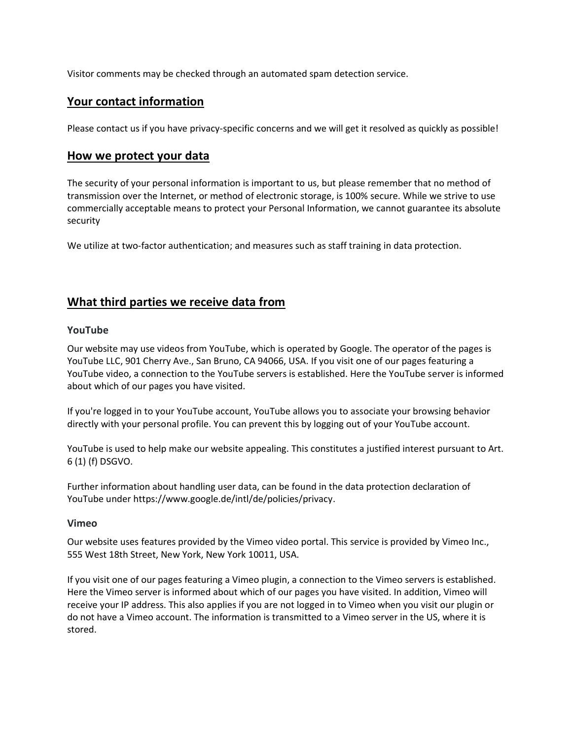Visitor comments may be checked through an automated spam detection service.

### **Your contact information**

Please contact us if you have privacy-specific concerns and we will get it resolved as quickly as possible!

### **How we protect your data**

The security of your personal information is important to us, but please remember that no method of transmission over the Internet, or method of electronic storage, is 100% secure. While we strive to use commercially acceptable means to protect your Personal Information, we cannot guarantee its absolute security

We utilize at two-factor authentication; and measures such as staff training in data protection.

# **What third parties we receive data from**

#### **YouTube**

Our website may use videos from YouTube, which is operated by Google. The operator of the pages is YouTube LLC, 901 Cherry Ave., San Bruno, CA 94066, USA. If you visit one of our pages featuring a YouTube video, a connection to the YouTube servers is established. Here the YouTube server is informed about which of our pages you have visited.

If you're logged in to your YouTube account, YouTube allows you to associate your browsing behavior directly with your personal profile. You can prevent this by logging out of your YouTube account.

YouTube is used to help make our website appealing. This constitutes a justified interest pursuant to Art. 6 (1) (f) DSGVO.

Further information about handling user data, can be found in the data protection declaration of YouTube under [https://www.google.de/intl/de/policies/privacy.](https://www.google.de/intl/de/policies/privacy)

#### **Vimeo**

Our website uses features provided by the Vimeo video portal. This service is provided by Vimeo Inc., 555 West 18th Street, New York, New York 10011, USA.

If you visit one of our pages featuring a Vimeo plugin, a connection to the Vimeo servers is established. Here the Vimeo server is informed about which of our pages you have visited. In addition, Vimeo will receive your IP address. This also applies if you are not logged in to Vimeo when you visit our plugin or do not have a Vimeo account. The information is transmitted to a Vimeo server in the US, where it is stored.